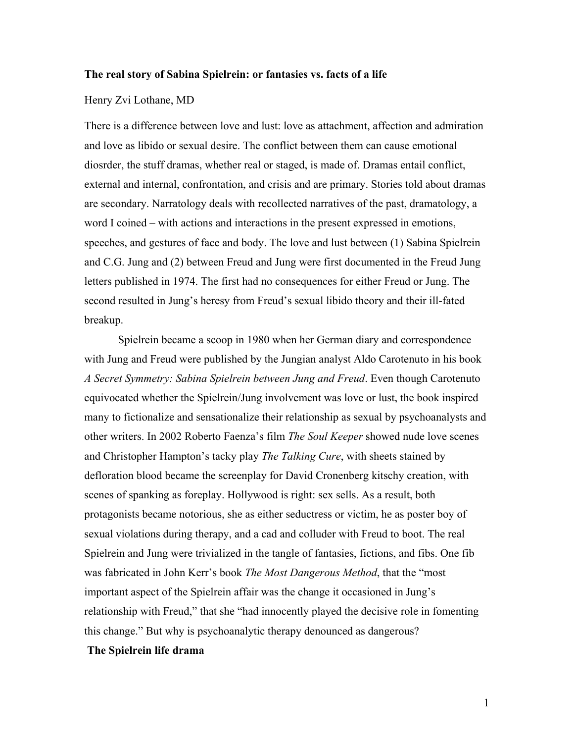## **The real story of Sabina Spielrein: or fantasies vs. facts of a life**

### Henry Zvi Lothane, MD

There is a difference between love and lust: love as attachment, affection and admiration and love as libido or sexual desire. The conflict between them can cause emotional diosrder, the stuff dramas, whether real or staged, is made of. Dramas entail conflict, external and internal, confrontation, and crisis and are primary. Stories told about dramas are secondary. Narratology deals with recollected narratives of the past, dramatology, a word I coined – with actions and interactions in the present expressed in emotions, speeches, and gestures of face and body. The love and lust between (1) Sabina Spielrein and C.G. Jung and (2) between Freud and Jung were first documented in the Freud Jung letters published in 1974. The first had no consequences for either Freud or Jung. The second resulted in Jung's heresy from Freud's sexual libido theory and their ill-fated breakup.

Spielrein became a scoop in 1980 when her German diary and correspondence with Jung and Freud were published by the Jungian analyst Aldo Carotenuto in his book *A Secret Symmetry: Sabina Spielrein between Jung and Freud*. Even though Carotenuto equivocated whether the Spielrein/Jung involvement was love or lust, the book inspired many to fictionalize and sensationalize their relationship as sexual by psychoanalysts and other writers. In 2002 Roberto Faenza's film *The Soul Keeper* showed nude love scenes and Christopher Hampton's tacky play *The Talking Cure*, with sheets stained by defloration blood became the screenplay for David Cronenberg kitschy creation, with scenes of spanking as foreplay. Hollywood is right: sex sells. As a result, both protagonists became notorious, she as either seductress or victim, he as poster boy of sexual violations during therapy, and a cad and colluder with Freud to boot. The real Spielrein and Jung were trivialized in the tangle of fantasies, fictions, and fibs. One fib was fabricated in John Kerr's book *The Most Dangerous Method*, that the "most important aspect of the Spielrein affair was the change it occasioned in Jung's relationship with Freud," that she "had innocently played the decisive role in fomenting this change." But why is psychoanalytic therapy denounced as dangerous?

# **The Spielrein life drama**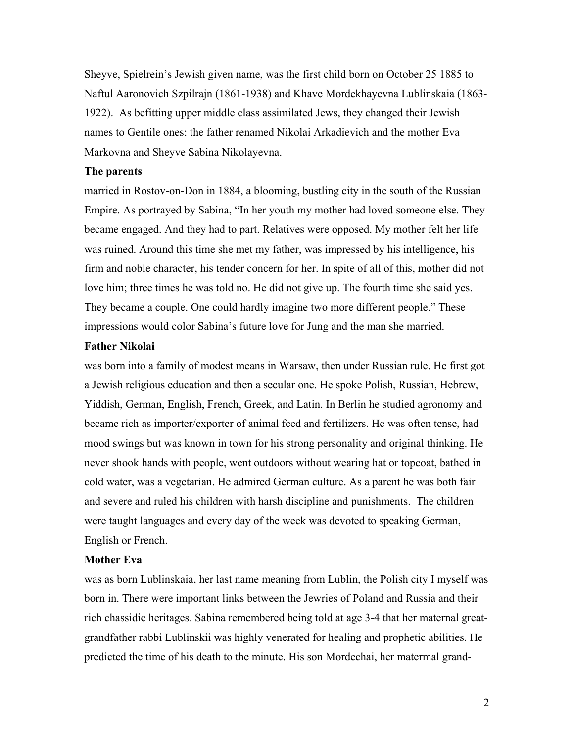Sheyve, Spielrein's Jewish given name, was the first child born on October 25 1885 to Naftul Aaronovich Szpilrajn (1861-1938) and Khave Mordekhayevna Lublinskaia (1863- 1922). As befitting upper middle class assimilated Jews, they changed their Jewish names to Gentile ones: the father renamed Nikolai Arkadievich and the mother Eva Markovna and Sheyve Sabina Nikolayevna.

## **The parents**

married in Rostov-on-Don in 1884, a blooming, bustling city in the south of the Russian Empire. As portrayed by Sabina, "In her youth my mother had loved someone else. They became engaged. And they had to part. Relatives were opposed. My mother felt her life was ruined. Around this time she met my father, was impressed by his intelligence, his firm and noble character, his tender concern for her. In spite of all of this, mother did not love him; three times he was told no. He did not give up. The fourth time she said yes. They became a couple. One could hardly imagine two more different people." These impressions would color Sabina's future love for Jung and the man she married.

# **Father Nikolai**

was born into a family of modest means in Warsaw, then under Russian rule. He first got a Jewish religious education and then a secular one. He spoke Polish, Russian, Hebrew, Yiddish, German, English, French, Greek, and Latin. In Berlin he studied agronomy and became rich as importer/exporter of animal feed and fertilizers. He was often tense, had mood swings but was known in town for his strong personality and original thinking. He never shook hands with people, went outdoors without wearing hat or topcoat, bathed in cold water, was a vegetarian. He admired German culture. As a parent he was both fair and severe and ruled his children with harsh discipline and punishments. The children were taught languages and every day of the week was devoted to speaking German, English or French.

## **Mother Eva**

was as born Lublinskaia, her last name meaning from Lublin, the Polish city I myself was born in. There were important links between the Jewries of Poland and Russia and their rich chassidic heritages. Sabina remembered being told at age 3-4 that her maternal greatgrandfather rabbi Lublinskii was highly venerated for healing and prophetic abilities. He predicted the time of his death to the minute. His son Mordechai, her matermal grand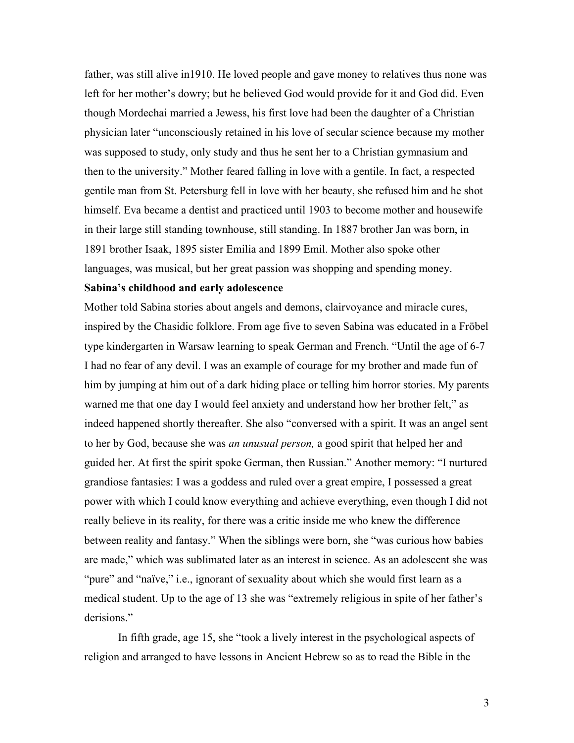father, was still alive in1910. He loved people and gave money to relatives thus none was left for her mother's dowry; but he believed God would provide for it and God did. Even though Mordechai married a Jewess, his first love had been the daughter of a Christian physician later "unconsciously retained in his love of secular science because my mother was supposed to study, only study and thus he sent her to a Christian gymnasium and then to the university." Mother feared falling in love with a gentile. In fact, a respected gentile man from St. Petersburg fell in love with her beauty, she refused him and he shot himself. Eva became a dentist and practiced until 1903 to become mother and housewife in their large still standing townhouse, still standing. In 1887 brother Jan was born, in 1891 brother Isaak, 1895 sister Emilia and 1899 Emil. Mother also spoke other languages, was musical, but her great passion was shopping and spending money.

### **Sabina's childhood and early adolescence**

Mother told Sabina stories about angels and demons, clairvoyance and miracle cures, inspired by the Chasidic folklore. From age five to seven Sabina was educated in a Fröbel type kindergarten in Warsaw learning to speak German and French. "Until the age of 6-7 I had no fear of any devil. I was an example of courage for my brother and made fun of him by jumping at him out of a dark hiding place or telling him horror stories. My parents warned me that one day I would feel anxiety and understand how her brother felt," as indeed happened shortly thereafter. She also "conversed with a spirit. It was an angel sent to her by God, because she was *an unusual person,* a good spirit that helped her and guided her. At first the spirit spoke German, then Russian." Another memory: "I nurtured grandiose fantasies: I was a goddess and ruled over a great empire, I possessed a great power with which I could know everything and achieve everything, even though I did not really believe in its reality, for there was a critic inside me who knew the difference between reality and fantasy." When the siblings were born, she "was curious how babies are made," which was sublimated later as an interest in science. As an adolescent she was "pure" and "naïve," i.e., ignorant of sexuality about which she would first learn as a medical student. Up to the age of 13 she was "extremely religious in spite of her father's derisions."

In fifth grade, age 15, she "took a lively interest in the psychological aspects of religion and arranged to have lessons in Ancient Hebrew so as to read the Bible in the

3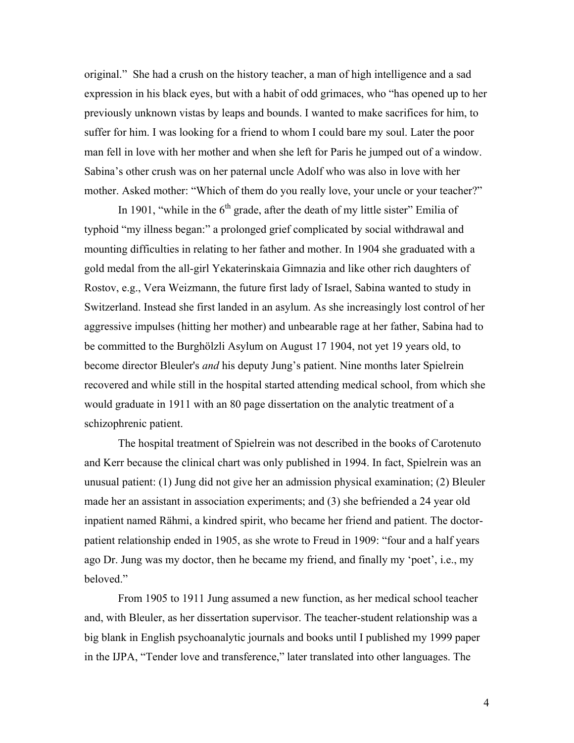original." She had a crush on the history teacher, a man of high intelligence and a sad expression in his black eyes, but with a habit of odd grimaces, who "has opened up to her previously unknown vistas by leaps and bounds. I wanted to make sacrifices for him, to suffer for him. I was looking for a friend to whom I could bare my soul. Later the poor man fell in love with her mother and when she left for Paris he jumped out of a window. Sabina's other crush was on her paternal uncle Adolf who was also in love with her mother. Asked mother: "Which of them do you really love, your uncle or your teacher?"

In 1901, "while in the  $6<sup>th</sup>$  grade, after the death of my little sister" Emilia of typhoid "my illness began:" a prolonged grief complicated by social withdrawal and mounting difficulties in relating to her father and mother. In 1904 she graduated with a gold medal from the all-girl Yekaterinskaia Gimnazia and like other rich daughters of Rostov, e.g., Vera Weizmann, the future first lady of Israel, Sabina wanted to study in Switzerland. Instead she first landed in an asylum. As she increasingly lost control of her aggressive impulses (hitting her mother) and unbearable rage at her father, Sabina had to be committed to the Burghölzli Asylum on August 17 1904, not yet 19 years old, to become director Bleuler's *and* his deputy Jung's patient. Nine months later Spielrein recovered and while still in the hospital started attending medical school, from which she would graduate in 1911 with an 80 page dissertation on the analytic treatment of a schizophrenic patient.

 The hospital treatment of Spielrein was not described in the books of Carotenuto and Kerr because the clinical chart was only published in 1994. In fact, Spielrein was an unusual patient: (1) Jung did not give her an admission physical examination; (2) Bleuler made her an assistant in association experiments; and (3) she befriended a 24 year old inpatient named Rähmi, a kindred spirit, who became her friend and patient. The doctorpatient relationship ended in 1905, as she wrote to Freud in 1909: "four and a half years ago Dr. Jung was my doctor, then he became my friend, and finally my 'poet', i.e., my beloved."

From 1905 to 1911 Jung assumed a new function, as her medical school teacher and, with Bleuler, as her dissertation supervisor. The teacher-student relationship was a big blank in English psychoanalytic journals and books until I published my 1999 paper in the IJPA, "Tender love and transference," later translated into other languages. The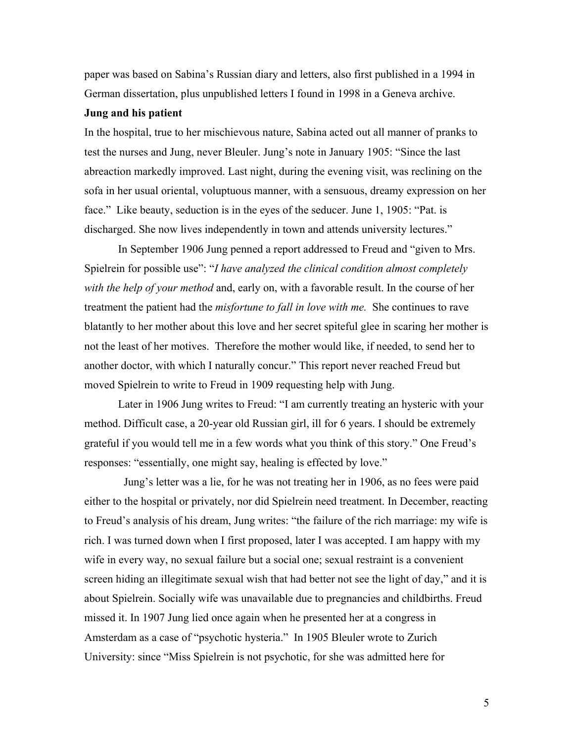paper was based on Sabina's Russian diary and letters, also first published in a 1994 in German dissertation, plus unpublished letters I found in 1998 in a Geneva archive.

## **Jung and his patient**

In the hospital, true to her mischievous nature, Sabina acted out all manner of pranks to test the nurses and Jung, never Bleuler. Jung's note in January 1905: "Since the last abreaction markedly improved. Last night, during the evening visit, was reclining on the sofa in her usual oriental, voluptuous manner, with a sensuous, dreamy expression on her face." Like beauty, seduction is in the eyes of the seducer. June 1, 1905: "Pat. is discharged. She now lives independently in town and attends university lectures."

In September 1906 Jung penned a report addressed to Freud and "given to Mrs. Spielrein for possible use": "*I have analyzed the clinical condition almost completely with the help of your method* and, early on, with a favorable result. In the course of her treatment the patient had the *misfortune to fall in love with me.* She continues to rave blatantly to her mother about this love and her secret spiteful glee in scaring her mother is not the least of her motives. Therefore the mother would like, if needed, to send her to another doctor, with which I naturally concur." This report never reached Freud but moved Spielrein to write to Freud in 1909 requesting help with Jung.

Later in 1906 Jung writes to Freud: "I am currently treating an hysteric with your method. Difficult case, a 20-year old Russian girl, ill for 6 years. I should be extremely grateful if you would tell me in a few words what you think of this story." One Freud's responses: "essentially, one might say, healing is effected by love."

 Jung's letter was a lie, for he was not treating her in 1906, as no fees were paid either to the hospital or privately, nor did Spielrein need treatment. In December, reacting to Freud's analysis of his dream, Jung writes: "the failure of the rich marriage: my wife is rich. I was turned down when I first proposed, later I was accepted. I am happy with my wife in every way, no sexual failure but a social one; sexual restraint is a convenient screen hiding an illegitimate sexual wish that had better not see the light of day," and it is about Spielrein. Socially wife was unavailable due to pregnancies and childbirths. Freud missed it. In 1907 Jung lied once again when he presented her at a congress in Amsterdam as a case of "psychotic hysteria." In 1905 Bleuler wrote to Zurich University: since "Miss Spielrein is not psychotic, for she was admitted here for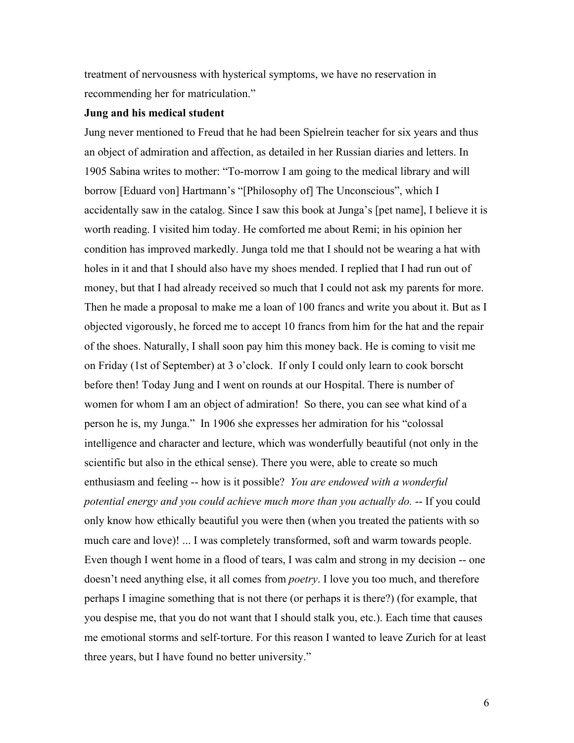treatment of nervousness with hysterical symptoms, we have no reservation in recommending her for matriculation."

## **Jung and his medical student**

Jung never mentioned to Freud that he had been Spielrein teacher for six years and thus an object of admiration and affection, as detailed in her Russian diaries and letters. In 1905 Sabina writes to mother: "To-morrow I am going to the medical library and will borrow [Eduard von] Hartmann's "[Philosophy of] The Unconscious", which I accidentally saw in the catalog. Since I saw this book at Junga's [pet name], I believe it is worth reading. I visited him today. He comforted me about Remi; in his opinion her condition has improved markedly. Junga told me that I should not be wearing a hat with holes in it and that I should also have my shoes mended. I replied that I had run out of money, but that I had already received so much that I could not ask my parents for more. Then he made a proposal to make me a loan of 100 francs and write you about it. But as I objected vigorously, he forced me to accept 10 francs from him for the hat and the repair of the shoes. Naturally, I shall soon pay him this money back. He is coming to visit me on Friday (1st of September) at 3 o'clock. If only I could only learn to cook borscht before then! Today Jung and I went on rounds at our Hospital. There is number of women for whom I am an object of admiration! So there, you can see what kind of a person he is, my Junga." In 1906 she expresses her admiration for his "colossal intelligence and character and lecture, which was wonderfully beautiful (not only in the scientific but also in the ethical sense). There you were, able to create so much enthusiasm and feeling -- how is it possible? *You are endowed with a wonderful potential energy and you could achieve much more than you actually do.* -- If you could only know how ethically beautiful you were then (when you treated the patients with so much care and love)! ... I was completely transformed, soft and warm towards people. Even though I went home in a flood of tears, I was calm and strong in my decision -- one doesn't need anything else, it all comes from *poetry*. I love you too much, and therefore perhaps I imagine something that is not there (or perhaps it is there?) (for example, that you despise me, that you do not want that I should stalk you, etc.). Each time that causes me emotional storms and self-torture. For this reason I wanted to leave Zurich for at least three years, but I have found no better university."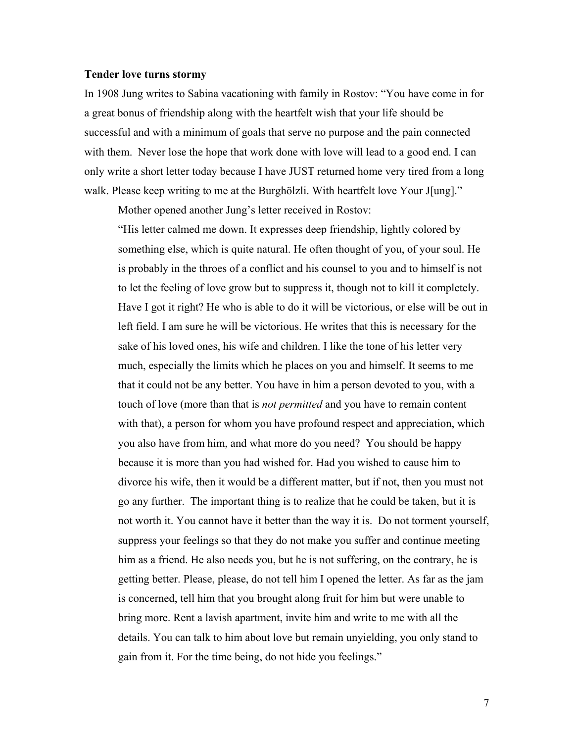### **Tender love turns stormy**

In 1908 Jung writes to Sabina vacationing with family in Rostov: "You have come in for a great bonus of friendship along with the heartfelt wish that your life should be successful and with a minimum of goals that serve no purpose and the pain connected with them. Never lose the hope that work done with love will lead to a good end. I can only write a short letter today because I have JUST returned home very tired from a long walk. Please keep writing to me at the Burghölzli. With heartfelt love Your J[ung]."

Mother opened another Jung's letter received in Rostov:

"His letter calmed me down. It expresses deep friendship, lightly colored by something else, which is quite natural. He often thought of you, of your soul. He is probably in the throes of a conflict and his counsel to you and to himself is not to let the feeling of love grow but to suppress it, though not to kill it completely. Have I got it right? He who is able to do it will be victorious, or else will be out in left field. I am sure he will be victorious. He writes that this is necessary for the sake of his loved ones, his wife and children. I like the tone of his letter very much, especially the limits which he places on you and himself. It seems to me that it could not be any better. You have in him a person devoted to you, with a touch of love (more than that is *not permitted* and you have to remain content with that), a person for whom you have profound respect and appreciation, which you also have from him, and what more do you need? You should be happy because it is more than you had wished for. Had you wished to cause him to divorce his wife, then it would be a different matter, but if not, then you must not go any further. The important thing is to realize that he could be taken, but it is not worth it. You cannot have it better than the way it is. Do not torment yourself, suppress your feelings so that they do not make you suffer and continue meeting him as a friend. He also needs you, but he is not suffering, on the contrary, he is getting better. Please, please, do not tell him I opened the letter. As far as the jam is concerned, tell him that you brought along fruit for him but were unable to bring more. Rent a lavish apartment, invite him and write to me with all the details. You can talk to him about love but remain unyielding, you only stand to gain from it. For the time being, do not hide you feelings."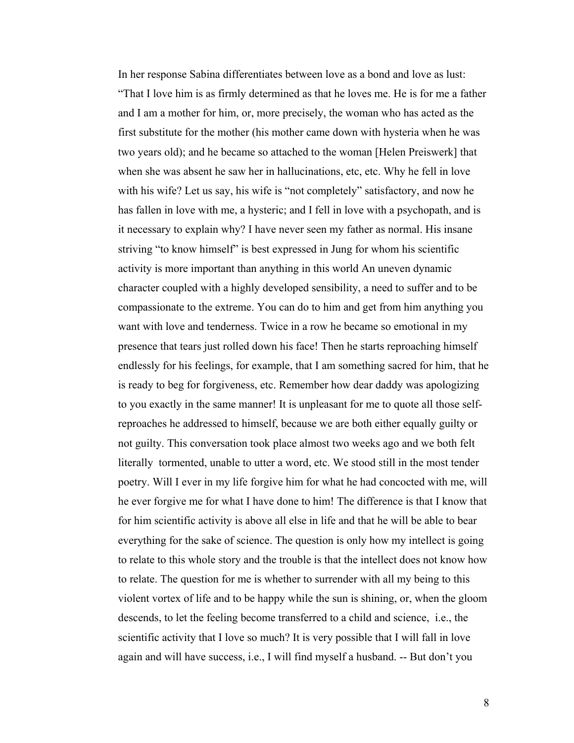In her response Sabina differentiates between love as a bond and love as lust: "That I love him is as firmly determined as that he loves me. He is for me a father and I am a mother for him, or, more precisely, the woman who has acted as the first substitute for the mother (his mother came down with hysteria when he was two years old); and he became so attached to the woman [Helen Preiswerk] that when she was absent he saw her in hallucinations, etc, etc. Why he fell in love with his wife? Let us say, his wife is "not completely" satisfactory, and now he has fallen in love with me, a hysteric; and I fell in love with a psychopath, and is it necessary to explain why? I have never seen my father as normal. His insane striving "to know himself" is best expressed in Jung for whom his scientific activity is more important than anything in this world An uneven dynamic character coupled with a highly developed sensibility, a need to suffer and to be compassionate to the extreme. You can do to him and get from him anything you want with love and tenderness. Twice in a row he became so emotional in my presence that tears just rolled down his face! Then he starts reproaching himself endlessly for his feelings, for example, that I am something sacred for him, that he is ready to beg for forgiveness, etc. Remember how dear daddy was apologizing to you exactly in the same manner! It is unpleasant for me to quote all those selfreproaches he addressed to himself, because we are both either equally guilty or not guilty. This conversation took place almost two weeks ago and we both felt literally tormented, unable to utter a word, etc. We stood still in the most tender poetry. Will I ever in my life forgive him for what he had concocted with me, will he ever forgive me for what I have done to him! The difference is that I know that for him scientific activity is above all else in life and that he will be able to bear everything for the sake of science. The question is only how my intellect is going to relate to this whole story and the trouble is that the intellect does not know how to relate. The question for me is whether to surrender with all my being to this violent vortex of life and to be happy while the sun is shining, or, when the gloom descends, to let the feeling become transferred to a child and science, i.e., the scientific activity that I love so much? It is very possible that I will fall in love again and will have success, i.e., I will find myself a husband. -- But don't you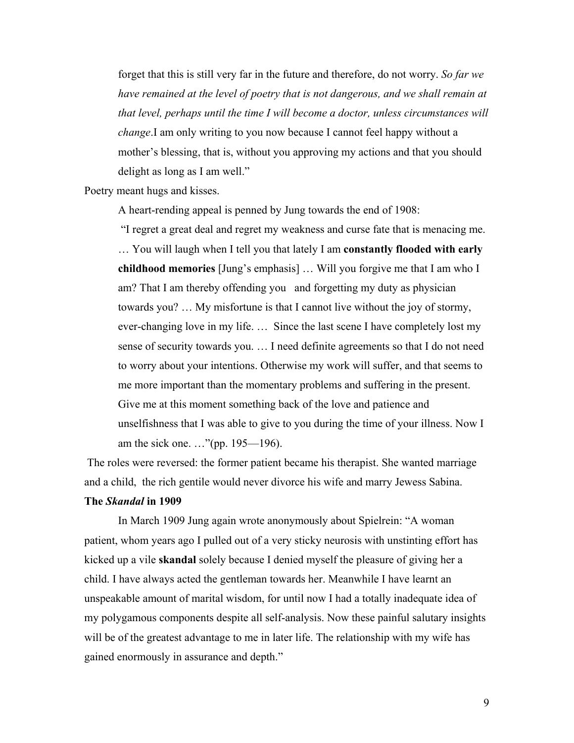forget that this is still very far in the future and therefore, do not worry. *So far we have remained at the level of poetry that is not dangerous, and we shall remain at that level, perhaps until the time I will become a doctor, unless circumstances will change*.I am only writing to you now because I cannot feel happy without a mother's blessing, that is, without you approving my actions and that you should delight as long as I am well."

Poetry meant hugs and kisses.

A heart-rending appeal is penned by Jung towards the end of 1908:

 "I regret a great deal and regret my weakness and curse fate that is menacing me. … You will laugh when I tell you that lately I am **constantly flooded with early childhood memories** [Jung's emphasis] … Will you forgive me that I am who I am? That I am thereby offending you and forgetting my duty as physician towards you? … My misfortune is that I cannot live without the joy of stormy, ever-changing love in my life. … Since the last scene I have completely lost my sense of security towards you. … I need definite agreements so that I do not need to worry about your intentions. Otherwise my work will suffer, and that seems to me more important than the momentary problems and suffering in the present. Give me at this moment something back of the love and patience and unselfishness that I was able to give to you during the time of your illness. Now I am the sick one. …"(pp. 195—196).

 The roles were reversed: the former patient became his therapist. She wanted marriage and a child, the rich gentile would never divorce his wife and marry Jewess Sabina.

## **The** *Skandal* **in 1909**

In March 1909 Jung again wrote anonymously about Spielrein: "A woman patient, whom years ago I pulled out of a very sticky neurosis with unstinting effort has kicked up a vile **skandal** solely because I denied myself the pleasure of giving her a child. I have always acted the gentleman towards her. Meanwhile I have learnt an unspeakable amount of marital wisdom, for until now I had a totally inadequate idea of my polygamous components despite all self-analysis. Now these painful salutary insights will be of the greatest advantage to me in later life. The relationship with my wife has gained enormously in assurance and depth."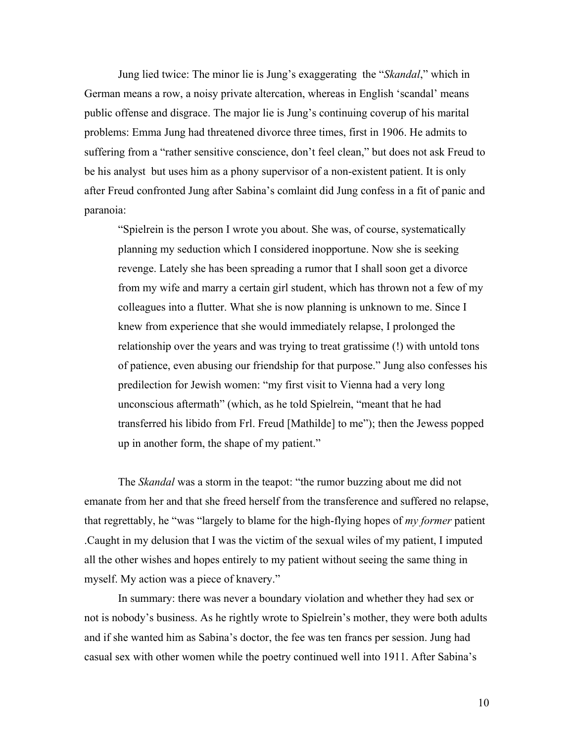Jung lied twice: The minor lie is Jung's exaggerating the "*Skandal*," which in German means a row, a noisy private altercation, whereas in English 'scandal' means public offense and disgrace. The major lie is Jung's continuing coverup of his marital problems: Emma Jung had threatened divorce three times, first in 1906. He admits to suffering from a "rather sensitive conscience, don't feel clean," but does not ask Freud to be his analyst but uses him as a phony supervisor of a non-existent patient. It is only after Freud confronted Jung after Sabina's comlaint did Jung confess in a fit of panic and paranoia:

"Spielrein is the person I wrote you about. She was, of course, systematically planning my seduction which I considered inopportune. Now she is seeking revenge. Lately she has been spreading a rumor that I shall soon get a divorce from my wife and marry a certain girl student, which has thrown not a few of my colleagues into a flutter. What she is now planning is unknown to me. Since I knew from experience that she would immediately relapse, I prolonged the relationship over the years and was trying to treat gratissime (!) with untold tons of patience, even abusing our friendship for that purpose." Jung also confesses his predilection for Jewish women: "my first visit to Vienna had a very long unconscious aftermath" (which, as he told Spielrein, "meant that he had transferred his libido from Frl. Freud [Mathilde] to me"); then the Jewess popped up in another form, the shape of my patient."

 The *Skandal* was a storm in the teapot: "the rumor buzzing about me did not emanate from her and that she freed herself from the transference and suffered no relapse, that regrettably, he "was "largely to blame for the high-flying hopes of *my former* patient .Caught in my delusion that I was the victim of the sexual wiles of my patient, I imputed all the other wishes and hopes entirely to my patient without seeing the same thing in myself. My action was a piece of knavery."

 In summary: there was never a boundary violation and whether they had sex or not is nobody's business. As he rightly wrote to Spielrein's mother, they were both adults and if she wanted him as Sabina's doctor, the fee was ten francs per session. Jung had casual sex with other women while the poetry continued well into 1911. After Sabina's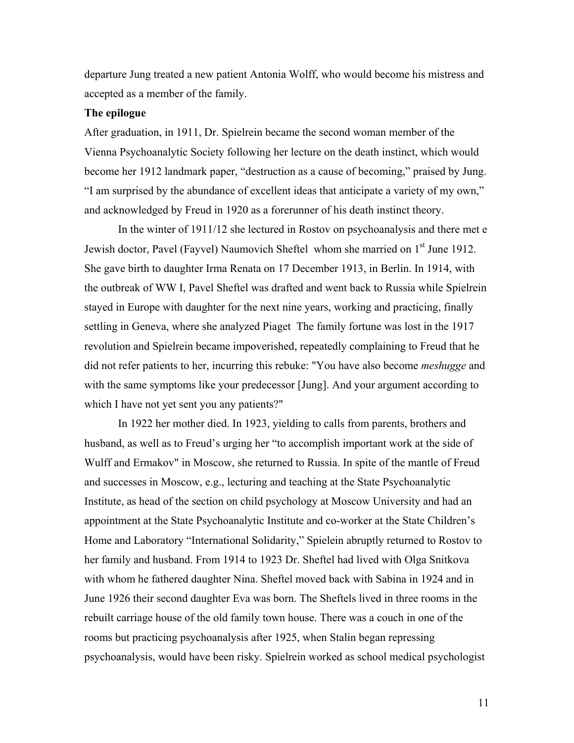departure Jung treated a new patient Antonia Wolff, who would become his mistress and accepted as a member of the family.

## **The epilogue**

After graduation, in 1911, Dr. Spielrein became the second woman member of the Vienna Psychoanalytic Society following her lecture on the death instinct, which would become her 1912 landmark paper, "destruction as a cause of becoming," praised by Jung. "I am surprised by the abundance of excellent ideas that anticipate a variety of my own," and acknowledged by Freud in 1920 as a forerunner of his death instinct theory.

In the winter of 1911/12 she lectured in Rostov on psychoanalysis and there met e Jewish doctor, Pavel (Fayvel) Naumovich Sheftel whom she married on 1<sup>st</sup> June 1912. She gave birth to daughter Irma Renata on 17 December 1913, in Berlin. In 1914, with the outbreak of WW I, Pavel Sheftel was drafted and went back to Russia while Spielrein stayed in Europe with daughter for the next nine years, working and practicing, finally settling in Geneva, where she analyzed Piaget The family fortune was lost in the 1917 revolution and Spielrein became impoverished, repeatedly complaining to Freud that he did not refer patients to her, incurring this rebuke: "You have also become *meshugge* and with the same symptoms like your predecessor [Jung]. And your argument according to which I have not yet sent you any patients?"

In 1922 her mother died. In 1923, yielding to calls from parents, brothers and husband, as well as to Freud's urging her "to accomplish important work at the side of Wulff and Ermakov" in Moscow, she returned to Russia. In spite of the mantle of Freud and successes in Moscow, e.g., lecturing and teaching at the State Psychoanalytic Institute, as head of the section on child psychology at Moscow University and had an appointment at the State Psychoanalytic Institute and co-worker at the State Children's Home and Laboratory "International Solidarity," Spielein abruptly returned to Rostov to her family and husband. From 1914 to 1923 Dr. Sheftel had lived with Olga Snitkova with whom he fathered daughter Nina. Sheftel moved back with Sabina in 1924 and in June 1926 their second daughter Eva was born. The Sheftels lived in three rooms in the rebuilt carriage house of the old family town house. There was a couch in one of the rooms but practicing psychoanalysis after 1925, when Stalin began repressing psychoanalysis, would have been risky. Spielrein worked as school medical psychologist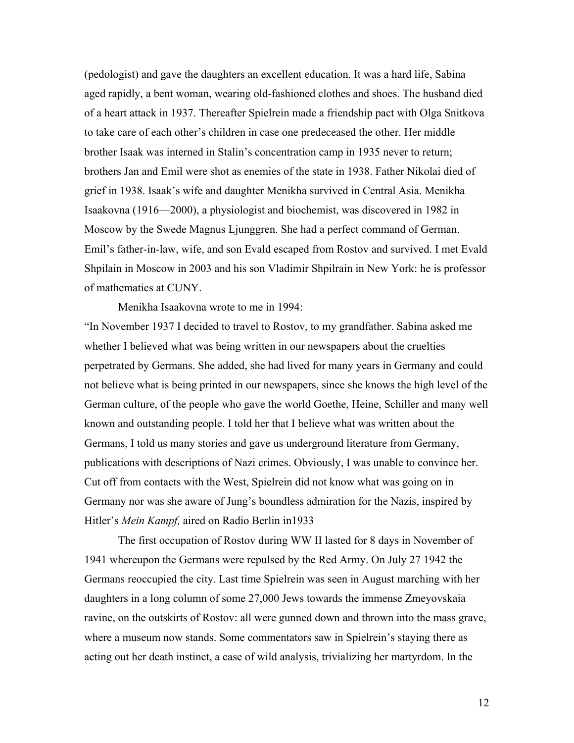(pedologist) and gave the daughters an excellent education. It was a hard life, Sabina aged rapidly, a bent woman, wearing old-fashioned clothes and shoes. The husband died of a heart attack in 1937. Thereafter Spielrein made a friendship pact with Olga Snitkova to take care of each other's children in case one predeceased the other. Her middle brother Isaak was interned in Stalin's concentration camp in 1935 never to return; brothers Jan and Emil were shot as enemies of the state in 1938. Father Nikolai died of grief in 1938. Isaak's wife and daughter Menikha survived in Central Asia. Menikha Isaakovna (1916—2000), a physiologist and biochemist, was discovered in 1982 in Moscow by the Swede Magnus Ljunggren. She had a perfect command of German. Emil's father-in-law, wife, and son Evald escaped from Rostov and survived. I met Evald Shpilain in Moscow in 2003 and his son Vladimir Shpilrain in New York: he is professor of mathematics at CUNY.

Menikha Isaakovna wrote to me in 1994:

"In November 1937 I decided to travel to Rostov, to my grandfather. Sabina asked me whether I believed what was being written in our newspapers about the cruelties perpetrated by Germans. She added, she had lived for many years in Germany and could not believe what is being printed in our newspapers, since she knows the high level of the German culture, of the people who gave the world Goethe, Heine, Schiller and many well known and outstanding people. I told her that I believe what was written about the Germans, I told us many stories and gave us underground literature from Germany, publications with descriptions of Nazi crimes. Obviously, I was unable to convince her. Cut off from contacts with the West, Spielrein did not know what was going on in Germany nor was she aware of Jung's boundless admiration for the Nazis, inspired by Hitler's *Mein Kampf,* aired on Radio Berlin in1933

The first occupation of Rostov during WW II lasted for 8 days in November of 1941 whereupon the Germans were repulsed by the Red Army. On July 27 1942 the Germans reoccupied the city. Last time Spielrein was seen in August marching with her daughters in a long column of some 27,000 Jews towards the immense Zmeyovskaia ravine, on the outskirts of Rostov: all were gunned down and thrown into the mass grave, where a museum now stands. Some commentators saw in Spielrein's staying there as acting out her death instinct, a case of wild analysis, trivializing her martyrdom. In the